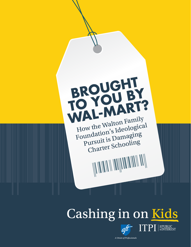

# Cashing in on Kids



A Union of Professionals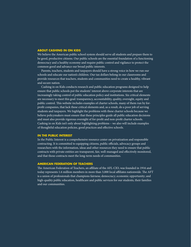#### **ABOUT CASHING IN ON KIDS**

We believe the American public school system should serve all students and prepare them to be good, productive citizens. Our public schools are the essential foundation of a functioning democracy and a healthy economy and require public control and vigilance to protect the common good and advance our broad public interests.

Parents, teachers, students and taxpayers should have a strong voice in how we run our schools and educate our nation's children. Our tax dollars belong in our classrooms and provide resources that teachers, students and communities need to create a healthy, vibrant and secure nation.

Cashing in on Kids conducts research and public education programs designed to help ensure that public schools put the students' interest above corporate interests that are increasingly taking control of public education policy and institutions. Six critical elements are necessary to meet this goal: transparency, accountability, quality, oversight, equity and public control. This website includes examples of charter schools, many of them run by forprofit companies, that lack these critical elements and, as a result, do a poor job of serving students and taxpayers. We highlight the problems with these charter schools because we believe policymakers must ensure that these principles guide all public education decisions and must also provide rigorous oversight of for-profit and non-profit charter schools. Cashing in on Kids isn't only about highlighting problems – we also will include examples of thoughtful education policies, good practices and effective schools.

#### **IN THE PUBLIC INTEREST**

In the Public Interest is a comprehensive resource center on privatization and responsible contracting. It is committed to equipping citizens, public officials, advocacy groups and researchers with the information, ideas and other resources they need to ensure that public contracts with private entities are transparent, fair, well-managed and effectively monitored, and that those contracts meet the long-term needs of communities.

#### **AMERICAN FEDERATION OF TEACHERS**

The American Federation of Teachers, an affiliate of the AFL-CIO, was founded in 1916 and today represents 1.6 million members in more than 3,000 local affiliates nationwide. The AFT is a union of professionals that champions fairness; democracy; economic opportunity; and high-quality public education, healthcare and public services for our students, their families and our communities.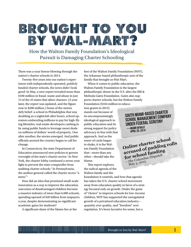## IB IR (C) IU (S) HI II II (C) YI (C) IU IEB "Y" "WWW/43. III... .... AWA ALIN TRE"II" "P

How the Walton Family Foundation's Ideological Pursuit is Damaging Charter Schooling

There was a sour breeze blowing through the nation's charter schools in 2014.

Twenty-five years into our nation's experiment with independently operated, publicly funded charter schools, the news didn't look good: In May, a new report revealed more than \$100 million in fraud, waste and abuse in just 15 of the 43 states that allow charters. (A year later, the report was updated, and the figure rose to \$200 million.) Some of the stories defy belief: a school in Philadelphia that was doubling as a nightclub after hours; school operators embezzling millions to pay for high-flying lifestyles; real estate developers cashing in by using public funds to leverage sweet deals on millions of dollars' worth of property. One after another, the stories emerged. And public officials around the country began to call for change.

In Connecticut, the state Department of Education announced new policies to govern oversight of the state's charter sector.<sup>1</sup> In New York, the charter lobby continued a seven-year fight to prevent the state comptroller from auditing charter schools.2 In Pennsylvania, the auditor general called the charter sector "a mess."3

How did an idea that promised small-scale innovation as a way to improve the education outcomes of disadvantaged children become a massive industry of more than 6,000 schools, spending upward of \$20 billion from taxpayers a year, despite demonstrating no significant academic gains for students?

A significant share of the blame lies at the

feet of the Walton Family Foundation (WFF), the Arkansas-based philanthropic arm of the family that brought us Wal-Mart.

When it comes to public education, the Walton Family Foundation is the largest philanthropic donor in the U.S. after the Bill & Melinda Gates Foundation. Gates also supports charter schools, but the Walton Family Foundation (\$164 million in educa-

tion grants in 2013) stands out because of its uncompromisingly ideological approach to public education and its strong support for policy advocacy in line with that approach. And as the tower of cards began to shake, it is the Walton Family Foundation that—more than any other—should take the blame.

This report explores the radical agenda of the Walton family and the

foundation it controls, and how that agenda has taken the U.S. charter school movement away from education quality in favor of a strategy focused only on growth. Under the guise of "choice" to improve schools for low-income children, WFF has supported the unregulated growth of a privatized education industry quantity over quality, and "freedom" over regulation. It's been lucrative for some, but a

South Miami-based charter school management company under federal scrutiny —Miami herald April 20, 2014

**Online charter school accused of padding rolls for school funding**  —*The Columbus Dispatch* May 5, 2015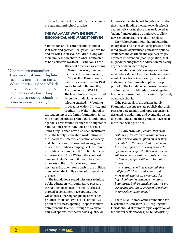disaster for many of the nation's most vulnerable students and school districts.

#### **THE WAL-MART WAY: INTENSELY IDEOLOGICAL AND MARKET-DRIVEN**

Sam Walton and his brother, Bud, founded Wal-Mart and got rich. Really rich. Sam Walton and his wife Helen's four children (along with their families) now share in what is estimated to be a collective worth of \$150 billion. Of the

"Charters are competitors. They steal customers, deplete revenues and increase costs. When charters siphon off kids, they not only take the money that comes with them, they often cause nearby schools to operate under capacity."

10 richest Americans according to *Forbes* magazine, four are members of the Walton family.

The Walton Family Foundation was established in 1988 and is based in Bentonville, Ark., the home of Wal-Mart. The late John Walton, who died when the small plane he was piloting crashed in Wyoming in 2005, his widow Christy, and brother, Jim Walton, shared in

the leadership of the family foundation. John, more than the others, crafted the foundation's agenda. Carrie Walton Penner, the daughter of Sam Walton's eldest son Rob, and her husband, Greg Penner, have also been instrumental in the family's education work, sitting on the boards of numerous education advocacy and charter organizations and giving generously to the political campaigns of like-minded politicians from their \$20 million home in Atherton, Calif. Alice Walton, the youngest of Sam and Helen's four children, is best known as an arts collector. But she, too, doesn't hesitate to lay down some cash in the political arena when the family's education agenda is at stake.

The foundation's stated mission is to infuse public education with competitive pressure through school choice. The theory is based in retail: If consumers have options, they will choose either higher quality or cheaper products. Merchants who can't compete will go out of business, opening up space for new entrepreneurs to enter. Through this constant churn of options, the theory holds, quality will

improve across the board. In public education, that means flooding the market with schools, aggressively closing those that are labeled as "failing," and opening up pathways to allow new school operators to take their place.

The Walton Family Foundation holds this theory dear, and has relentlessly pressed for the rapid growth of privatized education options (vouchers and charters) and against any government intervention (read: regulation) that might deter entry into the education market by anyone with an idea to try out.

Although the foundation implies that this market-based model will lead to the improvement of *all* schools in a system, a different endgame is clear through its philanthropic portfolio: The foundation endorses the eventual elimination of public education altogether, in favor of an across-the-board system of privately operated schools.

If the principals of the Walton Family Foundation decline to state publicly that their press for deregulation and rapid expansion is designed to undermine and eventually dismantle public education, their grantees have been more than willing to do so:

*"Charters are competitors. They steal customers, deplete revenues and increase costs. When charters siphon off kids, they not only take the money that comes with them, they often cause nearby schools to operate under capacity. This increases inefficiencies and per-student costs because all that empty space still must be maintained.*

*As charters continue to expand, they will force districts to make more and more tough choices on personnel, closing schools and redrawing attendance boundaries, both political poisons. We are seeing this play out in spectacular fashion in some older urban areas."*<sup>4</sup>

That's Mike Thomas of the Foundation for Excellence in Education (FEE) arguing that Florida should allow more rapid expansion of the charter sector not despite, but *because of*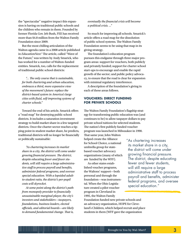the "spectacular" negative impact this expansion is having on traditional public schools and the children who remain in them. Founded by former Florida Gov. Jeb Bush, FEE has received more than \$4.8 million from the Walton Family Foundation since 2009.

But the most chilling articulation of the Walton agenda came in a 2008 article published in *EducationNext.*<sup>5</sup> The article, called "Wave of the Future," was written by Andy Smarick, who has worked for a number of Walton-funded entities. Smarick, too, calls for the replacement of traditional public school districts:

*"… The only course that is sustainable, for both chartering and urban education, embraces a third, more expansive view of the movement's future: replace the district-based system in America's large cities with fluid, self-improving systems of charter schools."*

Toward the end of his article, Smarick offers a "road map" for destroying public school districts. It includes a saturation investment strategy to build market share in a few targeted districts. Once the charter sector reaches a tipping point in student market share, he predicts, traditional districts will no longer be financially or politically sustainable:

*"As chartering increases its market share in a city, the district will come under growing financial pressure. The district, despite educating fewer and fewer students, will still require a large administrative staff to process payroll and benefits, administer federal programs, and oversee special education. With a lopsided adultto-student ratio, the district's per-pupil costs will skyrocket.*

*At some point along the district's path from monopoly provider to financially unsustainable marginal player, the city's investors and stakeholders—taxpayers, foundations, business leaders, elected officials, and editorial boards—are likely to demand fundamental change. That is,* 

*eventually the financial crisis will become a political crisis. ..."* 

So much for improving all schools. Smarick's article offers a road map for the dissolution of public school systems. The Walton Family Foundation seems to be using that map in its giving strategy.

The foundation's education program pursues this endgame through three major program areas: support for vouchers, both publicly and privately funded; support for charter school start-ups to encourage and enable the rapid growth of the sector; and public policy advocacy, to ensure that the road is clear for expansion with minimal regulatory interference.

A description of the foundation's giving in each of these areas follows.

#### **VOUCHERS: DIRECT FUNDING FOR PRIVATE SCHOOLS**

The Walton Family Foundation's flagship strategy for transforming public education was (and continues to be) to allow taxpayer dollars to pay private school tuitions for selected students. The nation's first publicly funded voucher program was launched in Milwaukee in 1990.

That same year, John Walton helped create the Alliance for School Choice, a national umbrella group for statebased voucher advocacy organizations (many of which are funded by the WFF).

As other states established voucher programs, the Waltons' support—both personal and through the foundation—was instrumental. When the Ohio Legislature created a pilot voucher program in Cleveland in 1995, the Walton Family

Foundation funded new private schools and an advocacy organization, HOPE for Cleveland's Children, which helped recruit and place students in them (WFF gave the organization

"As chartering increases its market share in a city, the district will come under growing financial pressure. The district, despite educating fewer and fewer students, will still require a large administrative staff to process payroll and benefits, administer federal programs, and oversee special education."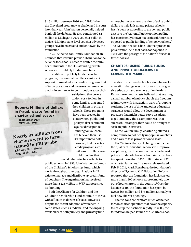\$1.8 million between 1996 and 1999). When the Cleveland program was challenged in court later that year, John Walton personally helped bankroll the defense. He also contributed \$2 million to Michigan's 2000 voucher ballot initiative.<sup>6</sup> Multiple state-level voucher advocacy groups have been created and endowed by the foundation.

In 2013, the Walton Family Foundation announced that it would provide \$6 million to the Alliance for School Choice to double the number of students in the U.S. attending private schools with publicly funded vouchers.

In addition to publicly funded voucher programs, the foundation offers significant support to so-called voucher-lite programs that offer corporations and investors generous tax credits in exchange for contributions to a schol-

**Report: Millions of dollars in fraud, waste found in charter school sector —***Washington Post*

**April 28, 2015**

**Nearly \$1 million from charters went to firms named in FBI probe —***Chicago Sun-Times*

**August 18, 2014**

arship fund that covers tuition costs for low-income families that enroll their children in private schools. These programs have been created in states where public and policymaker sentiment against direct public funding for vouchers has blocked their use. It's important to note, however, that these tax credit programs strip millions of dollars from public coffers that

would otherwise be available to

public schools. In 1998, John Walton co-founded the Children's Scholarship Fund, which works through partner organizations in 22 cities to manage and distribute tax credit-funded vouchers. The organization has received more than \$223 *million* in WFF support since its founding.

Both the Alliance for Children and the Children's Scholarship Fund continue to thrive, with affiliates in dozens of states. However, despite the recent adoption of vouchers in some states, such as Indiana, and the ongoing availability of both publicly and privately fund-

ed vouchers elsewhere, the idea of using public dollars to help kids attend private schools hasn't been as appealing to the general public as it is to the Waltons. Public opinion polling has consistently shown majorities of Americans opposed to public funding of school vouchers.7 The Waltons needed a back-door approach to privatization. And that back door opened in 1991 with the passage of the nation's first charter school law.

#### **CHARTERS: USING PUBLIC FUNDS AND PRIVATE OPERATORS TO CORNER THE MARKET**

The idea of chartered schools as incubators for education change was put forward by progressive educators and teachers union leaders. Early charter enthusiasts believed that granting a small number of public schools the freedom to innovate with instruction, ways of grouping students, the use of time and other education strategies would allow the development of practices that might better serve disadvantaged students. The assumption was that successful strategies then could be brought to scale in public districts.

To the Walton family, chartering offered a compromise to politically unpopular vouchers, and a way to take privatization to scale.

The Waltons' theory of change asserts that the quality of individual schools will improve as options grow. The foundation is the largest private funder of charter school start-ups, having spent more than \$355 million since 1997 on charter launches. In a news release dated Feb. 5, 2014, Mark Sternberg, the foundation's director of Systemic K-12 Education Reform reported that the foundation has kick-started more than 1,500 schools, approximately one out of four charters in the country.<sup>8</sup> Over the last five years, the foundation has spent between \$63 million and \$73 million annually to fuel new charter openings.

The Waltons concentrate much of their effort on charter operators that have the capacity to scale up their schools rapidly. In 2000, the foundation helped launch the Charter School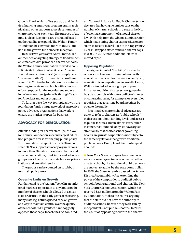Growth Fund, which offers start-up and facilities financing, multiyear program grants, technical and other supports to a select number of charter networks each year. The purpose of the fund is clear: Recipients are evaluated based on their ability to expand. The Walton Family Foundation has invested more than \$101 million in the growth fund since its inception.

In 2010 (two years after Andy Smarick recommended a targeting strategy to flood vulnerable markets with privatized charter schools), the Walton Family Foundation moved to consolidate its funding in what it called "market share demonstration sites" (now simply called "investment sites"). In these districts—there were 16 in 2014—the foundation concentrates funding to create new schools with advocacy efforts, support for the recruitment and training of new teachers (primarily through Teach for America) and other programs.

To further pave the way for rapid growth, the foundation funds a large network of aggressive policy advocacy organizations that work to ensure the market is open for business.

#### **ADVOCACY FOR DEREGULATION**

After its funding for charter start-ups, the Walton Family Foundation's second largest education program area is for shaping public policy. The foundation has spent nearly \$280 million since 2009 to support advocacy organizations in more than 30 states. These state charter and voucher associations, think tanks and advocacy groups work to ensure that state laws are privatization- and growth-friendly.

The groups can be counted on to lobby in two main policy areas:

#### **Opposing Limits on Growth**

Fundamental to the Waltons' belief in an unfettered market is opposition to any limits on the number of charter schools allowed in a given state or district. In the early years of chartering, many state legislatures placed caps on growth as a way to maintain control over the quality of the schools. WFF grantees have doggedly opposed these caps. In fact, the (Walton-funded) National Alliance for Public Charter Schools declares that having no limit or caps on the number of charter schools in a state is the No. 1 "essential component" of a model charter law. With help from the Obama administration, which made lifting charter caps a criterion for states to receive federal Race to the Top grants,<sup>9</sup> 15 cash-strapped states removed charter caps in 2009. In 2013, three additional states removed caps.10

#### **Opposing Regulation**

The original intent of "flexibility" for charter schools was to allow experimentation with education practices. For the Walton family, any regulation is an impediment to growth. Hence, Walton-funded advocacy groups oppose initiatives requiring charter school governing boards to comply with state conflict-of-interest or contracting rules, for example, or even rules requiring that governing board meetings be open to the public.

Free-market charter school advocates are quick to refer to charters as "public schools" in discussions about funding levels and access to public facilities. But in almost every other instance, WFF-funded lobbyists have argued strenuously that charter school governing boards are private corporations not subject to the same regulations that govern traditional public schools. Examples of this doublespeak abound:

**New York State** taxpayers have been witness to a seven-year tug of war over whether charter schools, like traditional public schools, are subject to audits by the state comptroller. In 2005, the State Assembly passed the School District Accountability Act, extending the power of the comptroller to audit *all* public schools, both traditional and charter. The New York Charter School Association, which has received \$3.6 million from the Walton Family Foundation, took to the courts, arguing that the state did not have the authority to audit the schools because they were run by independent—not public—boards. In 2009, the Court of Appeals agreed with the charter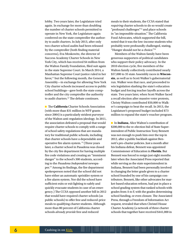lobby. Two years later, the Legislature tried again. In exchange for more than doubling the number of charter schools permitted to operate in New York, the Legislature again conferred on the state comptroller the authority to audit charters. In July 2013, after only two charter school audits had been released by the comptroller (both finding material concerns), Eva Moskowitz, the director of Success Academy Charter Schools in New York City, which has received \$4 million from the Walton Family Foundation, filed suit again in the state Supreme Court. In March 2014, a Manhattan Supreme Court justice ruled in her  $favor<sub>11</sub>$  but the following month, the General Assembly—in exchange for allowing New York City charter schools increased access to public school buildings—gave both the state comptroller and the city comptroller the authority to audit charters.<sup>12</sup> The debate continues.

n The **California** Charter Schools Association (with more than \$31 million in WFF grants since 2004) is a particularly strident purveyor of the Walton anti-regulation ideology. In 2011, the association defeated a proposal that would require charter schools to comply with a range of school safety regulations that are mandatory for traditional public schools, including that charter schools have a dependable and operative fire alarm system. 13 (Three years later, a charter school in Pasadena was closed by the city fire department for having multiple fire code violations and creating an "imminent danger" to the school's 300 students, according to the *Pasadena Independent* newspaper.14 Among its findings, the fire department spokesperson noted that the school did not have either an automatic sprinkler system or a fire alarm system. Nor did the school have sufficient exits or exit lighting to safely and quickly evacuate students in case of an emergency.) The CCSA opposed another bill in 2012 that would have required charter schools (as public schools) to offer free and reduced-price meals to qualifying charter students. Although more than 80 percent of California charter schools *already provide* free and reduced

meals to their students, the CCSA stated that *requiring* charter schools to do so would create "profound challenges"15 and place schools in "an impossible situation." The California Food Advocates, which supported the bill, noted that it was the low-income students who probably were profoundly challenged, stating, "Hunger should not be a choice."16

Members of the Walton family have been generous supporters of political candidates who support their policy advocacy. In the 2010 election cycle, five members of the Walton family collectively contributed nearly \$57,000 to 35 state Assembly races in **Wisconsin**, as well as to Scott Walker's gubernatorial run. Walker won that race, and proceeded to win legislation slashing the state's education budget and forcing teacher layoffs across the state. Two years later, when Scott Walker faced a recall election after massive voter protests, Christy Walton contributed \$50,000 to Walker's campaign to beat the recall. In 2013, the Legislature's proposed budget included \$73 million to expand the state's voucher program.

n In **Indiana**, Alice Walton's contribution of \$200,000 to the re-election bid of State Superintendent of Public Instruction Tony Bennett was not enough to push him over the top in 2012, after a public backlash against Bennett's pro-charter policies. Just a month after his Indiana defeat, Bennett was appointed Commissioner of Education in **Florida**. But Bennett was forced to resign just eight months later when the Associated Press reported that while serving as the state superintendent in Indiana, Bennett had been personally involved in changing the letter grade given to a charter school founded by one of his campaign contributors. Bennett, like other advocates for market-based education reform, had put in place a school grading system that ranked schools with grades from A to F, with the grades determining school funding, or even closure. The Associated Press, through a Freedom of Information Act request, revealed that when Christel House Charter Academy (a network of three charter schools that together have received \$441,000 in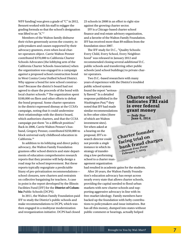WFF funding) was given a grade of "C" in 2012, Bennett worked with his staff to rejigger the grading formula so that the school's designation was lifted to an "A."17

Members of the Walton family disburse their riches generously across the country, to policymakers and causes supported by their advocacy grantees, even when local charter operators object. Carrie Walton Penner contributed \$370,000 to California Charter Schools Advocates (the lobbying arm of the California Charter Schools Association) when the organization was engaged in a campaign *against* a proposed school construction bond in West Contra Costa Unified School District. Why oppose a bond for new school construction? Because the district's board had not agreed to share the proceeds of the bond with local charter schools.<sup>18</sup> The organization spent \$100,000 on fliers and other efforts to defeat the bond proposal. Some charter operators in the district expressed dismay at the CCSA's campaign, noting that it could undermine their relationships with the district board, which authorizes charters, and that the CCSA campaign put them "in a difficult position." Back in 2006, Carrie Walton Penner's husband, Gregory Penner, contributed \$250,000 to block universal early childhood education in California.19

In addition to its lobbying and direct policy advocacy, the Walton Family Foundation grantees offer school districts and state departments of education comprehensive research reports that they promise will help design a road map for school improvement. But these reports typically regurgitate a predictable litany of pro-privatization recommendations school closures, new charters and restraints on collective bargaining for teachers. A case in point is the report developed by the Illinois Facilities Fund (IFF) for the **District of Columbia** Public Schools (DCPS).

In 2011, the Walton Family Foundation paid IFF to study the District's public schools and make recommendations to DCPS, which was then engaged in a multiyear modernization and reorganization initiative. DCPS had closed 23 schools in 2008 in an effort to right-size against the growing charter sector.

IFF is a Chicago-based charter school finance and real estate advisory organization, and a favorite of the Walton Family Foundation. IFF has received more than \$9 million from the foundation since 2007.

The IFF study for D.C., "Quality Schools: Every Child, Every School, Every Neighborhood" was released in January 2012 and recommended closing several *additional* D.C. public schools and transferring other public schools (and school buildings) to private charter operators.

Two D.C.-based researchers with many years of experience with the District's troubled public school system

found the report "seriously flawed." In a detailed response published in the *Washington Post,*20 they noted that IFF had made similar recommendations in five other cities (three of which are Walton investment sites). Yet when asked at a hearing on the proposal, IFF's research director could not provide a *single*  instance in which its strategy of transferring a low-performing school to a charter management organization

had resulted in academic gains for the students.

After 20 years, the Walton Family Foundation's education advocacy has swept across nearly every state that allows charter schools, providing the capital needed to flood urban markets with new charter schools and supporting aggressive advocacy in line with its free-market ideology. Family members have backed up the foundation with hefty contributions to policymakers and issue initiatives. But has all this money, dumped into states without public comment or hearings, actually helped

#### **Charter school indicates FBI raid is over federal grant money**

**—** *Indy Star* **June 6, 2014**

**Charter founder facing trial on**  facing trial charges<br>bank fraud charges **—***Detroit Free Press* **February 7, 2015**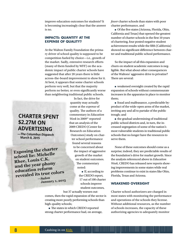improve education outcomes for students? It is becoming increasingly clear that the answer is no.

#### **IMPACTS: QUANTITY AT THE EXPENSE OF QUALITY?**

At the Walton Family Foundation the primary driver of school quality is supposed to be competition fueled by choice—i.e., growth of the market. Sadly, extensive research efforts (many of them funded by WFF) on the academic impact of public charter schools have suggested that after 20 years there is little across-the-board improvement to show for it. At best, it appears that some charter schools perform very well, but that the majority perform no better, or even significantly worse than neighboring traditional public schools.

### **CHARTER SPENT \$2.27M ON ADVERTISING**

**—The Columbus Dispatch March 8, 2015**

**Exposing the charter school lie: Michelle Rhee, Louis C.K. and the year phony education reform revealed its true colors —***Salon* **January 1, <sup>2015</sup>**

In fact, the drive for quantity may actually come at the *expense* of quality. The authors of a commentary in *Education Week* in 200921 reported that an analysis of the 2009 CREDO (Center for Research on Education Outcomes) study on charter school performance found several reasons to be concerned about the impact of aggressive growth of the market on student outcomes. The commentary noted:

> $\blacksquare$  If, according to the CREDO report, 17 out of 100 charter schools improve student outcomes,

but 37 actually worsen out-

comes, then the rapid expansion of the sector is creating more poorly performing schools than high-quality schools;

 $\blacksquare$  The states in which CREDO reported strong charter performance had, on average, *fewer* charter schools than states with poor charter performance, and

 $\blacksquare$  Of the five states (Arizona, Florida, Ohio, California and Texas) that opened the greatest number of charter schools in the first 10 years of chartering, four posted negative student achievement results while the fifth (California) showed no significant difference between charter and traditional public school performance.

So the impact of all this expansion and churn on student academic outcomes is negligible. But what about other consequences of the Waltons' aggressive drive to privatize? There are several:

 $\blacksquare$  weakened oversight created by the rapid expansion of schools without commensurate increases in the apparatus in place to monitor them;

n fraud and malfeasance, a predictable byproduct of the wide-open arms of the market, inviting any and all to partake of the public trough; and

 $\blacksquare$  the gradual undermining of traditional public school districts and, in turn, the increased segregation of some of the nation's most vulnerable students in traditional public schools that no longer have the resources to serve them.

None of these outcomes should come as a surprise; indeed, they are predictable results of the foundation's drive for market growth. Since the analysis referenced above in *Education Week*, CREDO has released new reports showing improvements in some states while real problems continue to exist in states like Ohio, Florida, Texas and Arizona.

#### **WEAKENED OVERSIGHT**

Charter school authorizers are charged in most states with monitoring the performance and operations of the schools they license. Without additional resources, as the number of schools increases, the capacity of these authorizing agencies to adequately monitor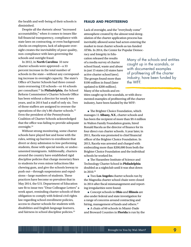the health and well-being of their schools is diminished.

Despite all the rhetoric about "increased accountability," when it comes to issues like full financial transparency, compliance with state laws on contracting, or even background checks on employees, lack of adequate oversight creates the inevitability of poor quality, non-compliance with laws governing the schools and outright fraud.

In 2012, in **North Carolina** 33 new charter schools were approved—a 33 percent increase in the total number of schools in the state—without any corresponding increase in oversight capacity. The state's Office of Charter Schools had three consultants overseeing 133 schools—or 44 schools per consultant.22 In **Philadelphia**, the School Reform Commission's Charter Schools Office has been without a director for nearly two years, and in 2014 had a staff of only six. Two of those staffers are assigned to oversee the operations of the city's 86 charter schools.23 Even the president of the Pennsylvania Coalition of Charter Schools acknowledged that the office was failing to provide adequate oversight.<sup>24</sup>

Without strong monitoring, some charter schools have played fast and loose with the rules, setting up barriers to enrollment that divert or deny admission to low-performing students, those with special needs, or undocumented immigrants. Additionally, charters around the country have established rigid discipline policies that charge monetary fines to students for even minor infractions like chewing gum, and give the schools leeway to push out—through suspensions and expulsions—large numbers of students. These practices have become so prevalent that in May 2014, the U.S. Department of Education saw fit to issue two "Dear Colleague Letters" a week apart, reminding charter schools of their obligation to comply with federal civil rights law regarding school enrollment policies, access to charter schools for students with disabilities and English language learners, and fairness in school discipline policies.<sup>25</sup>

#### **FRAUD AND PROFITEERING**

Lack of oversight, and the "everybody come" atmosphere created by the almost total deregulation of the charter application process has inevitably allowed some bad actors entering the market to treat charter schools as tax-funded ATMs. In 2014, the Center for Popular Democ-

racy and Integrity in Education released the results of a media survey of charter school fraud, waste and abuse in just 15 states (43 states have active charter school laws). The groups found more than \$100 million in fraud (later updated to \$200 million). Many of the schools and en-

industry, have been funded by the WFF.

Many of the schools and entities caught up in the scandals, or with documented examples of profiteering off the charter

tities caught up in the scandals, or with documented examples of profiteering off the charter industry, have been funded by the WFF:

 $\blacksquare$  The Brighter Choice Foundation, which manages 11 **Albany, N.Y.**, charter schools and has been the recipient of more than \$9.4 million in Walton Family Foundation grants, hired Ronald Racela as the director of finance for its four direct-run charter schools. A year later, in 2011, Racela was promoted to chief financial officer of the Brighter Choice Foundation. In 2013, Racela was arrested and charged with embezzling more than \$200,000 from both the Brighter Choice Foundation and the individual schools he worked for.

<sup>n</sup>The Harambee Institute of Science and Technology Charter School in **Philadelphia** doubled as a nightclub until it was shut down in 2010.26

■ Two **Los Angeles** charter schools run by the Magnolia charter school chain were closed in 2014 after fiscal mismanagement and reporting irregularities were found.

<sup>n</sup>Concept schools in **Ohio** and **Illinois** are also under federal and state investigation for a range of concerns around contracting and hiring, management of funds and others.<sup>27</sup>

<sup>n</sup>A chain of 60 schools in Miami-Dade and Broward Counties in **Florida** is run by the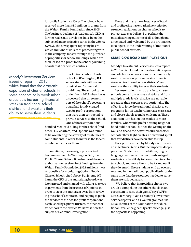for-profit Academica Corp. The schools have received more than \$1.1 million in grants from the Walton Family Foundation since 2005. The business dealings of Academica's CEO, a former real estate developer, have been the subject of an investigative series in the *Miami Herald*. The newspaper's reporting has revealed millions of dollars of profiteering within the company, mostly through the purchase of properties for school buildings, which are then leased at a profit to the school governing boards that Academica controls.<sup>28</sup>

Moody's Investment Services issued a report in 2013 which found that the dramatic expansion of charter schools in some economically weak urban areas puts increasing financial stress on traditional school districts and weakens their ability to serve their students.

■ Options Public Charter School in **Washington, D.C.,** serves students with severe physical and/or mental disabilities. The school came under fire in 2013 when it was discovered that three members of the school's governing board had jointly created two for-profit corporations that were then contracted to provide services to the school. One of those corporations

handled Medicaid billing for the school (and other D.C. charters) and Options was found to be overstating the severity of disabilities of some students in order to increase the federal reimbursements for them.29

Sometimes, the oversight process itself becomes tainted. In Washington D.C., the Public Charter School Board—one of the only authorizers to receive direct funding from the Walton Family Foundation (\$5.8 million)—was responsible for monitoring Options Public Charter School, cited above. But Jeremy Williams, the CFO of the authorizing board, was later arrested and charged with taking \$150,000 in payments from the trustees of Options, in order to steer the authorizer away from reviewing the school's contracts, and helping to pitch the services of the two for-profit corporations established by Options trustees, to other charter schools in the district. Williams is now the subject of a criminal investigation.<sup>30</sup>

These and many more instances of fraud and profiteering have sparked new cries for stronger regulations on charter schools to protect taxpayer dollars. But perhaps the most disturbing outcome of all, although one anticipated and welcomed by the pro-market ideologues, is the undermining of traditional public school districts.

#### **SMARICK'S ROAD MAP PLAYS OUT**

Moody's Investment Services issued a report in 2013 which found that the dramatic expansion of charter schools in some economically weak urban areas puts increasing financial stress on traditional school districts<sup>31</sup> and weakens their ability to serve their students.

Because students who transfer to charter schools come from across a district and from multiple grade levels, districts are not able to reduce their expenses proportionally. The effect is to force the traditional district to cut programs, lay off teachers, increase class sizes and close schools to make ends meet. These actions in turn hasten the exodus of more families, who would prefer a strong neighborhood public school, but see the writing on the wall and flee to the better-resourced charter schools. Their flight creates a downward spiral that few districts have been able to stop.

The cycle identified by Moody's is presented in technical terms. But the impact is deeply personal: Students with disabilities, English language learners and other disadvantaged students are less likely to be enrolled in a charter school, and more likely to be kicked out if they do enroll. These students end up overrepresented in the traditional public district at the same time that the resources needed to serve them are stripped away.

"We believe that in providing choices we are also compelling the other schools in an ecosystem to raise their game," says WFF's Marc Sternberg 32 Yet, as Moody's Investment Service reports, and as Walton grantees like Mike Thomas of the Foundation for Educational Excellence gleefully acknowledge, just the opposite is happening.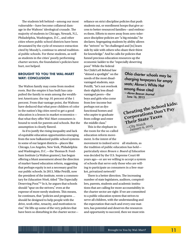The students left behind—among our most vulnerable—have become collateral damage in the Waltons' ideological crusade. The majority of students in Chicago, Newark, N.J., Philadelphia, Washington, D.C., and other cities where public school districts have been devastated by the cycle of resource extraction cited by Moody's, continue to attend traditional public schools. For these students, as well as students in the cities' poorly performing charter sectors, the foundation's policies have hurt, not helped.

#### **BROUGHT TO YOU THE WAL-MART WAY: CONCLUSION**

The Walton family may come from modest roots. But the empire it has built has catapulted the family to seats among the wealthiest Americans: the top .01 percent of the 1 percent. From that vantage point, the Waltons have deduced that what poor children of color in the nation's big cities need to get a good education is a lesson in market economics that what they offer Wal-Mart consumers is bound to work for parents and schools. But the assumption is clearly flawed.

As if to justify the rising inequality and lack of equitable education opportunities emerging from the now balkanized public school systems in some of our largest districts—places like Chicago, Los Angeles, New York, Philadelphia and Washington, D.C.—the Thomas B. Fordham Institute (a Walton grantee), has begun offering a blunt assessment about the direction of market-based education reform, suggesting that perhaps equity is not a necessary goal for our public schools. In 2013, Mike Petrilli, now the president of the institute, wrote a commentary for *Education Week*, titled "The Especially Deserving Poor."33 In it, he argues that schools should "spur on the strivers," even at the expense of more needy students. This means, he continues, that "policies and programs … should be designed to help people with the drive, work ethic, tenacity, and motivation to rise." He lifts up some of the very policies that have been so disturbing in the charter sectorreliance on strict discipline policies that push students out, or enrollment hoops that give access to better-resourced families—and embraces them. Efforts to move away from zero-tolerance discipline policies are "a big mistake," he declares. Segregating students by ability allows the "strivers" to "be challenged and [to] learn side by side with others who share their thirst for knowledge." And he calls for policies that funnel precious education resources up the economic ladder to the "especially deserving

poor." While the federal No Child Left Behind law "shined a spotlight" on the needs of the most disadvantaged students, says Petrilli, "let's not overlook their slightly less disadvantaged peers—the boys and girls who come from low-income but perhaps not as dysfunctional homes and who aspire to graduate from college and enter the middle class."

This is the elephant in the room for the so-called education reform movement. Is the intent of the movement to indeed serve all students, as the tradition of public education has held particularly since *Brown v. Board of Education* was decided by the U.S. Supreme Court 60 years ago—or are we willing to accept a system of schools that serve only those who are willing to participate as consumers in a free-market, privatized network?

There is a better direction. The increasing number of state legislators, auditors, comptrollers, parents, students and academic institutions that are calling for more accountability in the charter sector are right: If we are committed to a public education system that strives to serve all children, with the understanding and the expectation that each and every one matters, has potential and deserves the resources and opportunity to succeed, then we must rein

Ohio charter schools may be charging taxpayers for empty seats; Akron's White Hat among those cited —Akron Beacon Journal June 16, 2015

**Cheating the School kids: Corporations Don't Pay Their State Taxes**  —*City Watch* January 6, 2015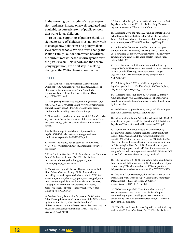in the current growth model of charter expansion, and insist instead on a well-regulated and equitably resourced system of public schools that works for all children.

To do that, supporters of public schools designed to serve *all* children must not only work to change how politicians and policymakers view charter schools. We also must change the Walton Family Foundation, which has driven the current market-based reform agenda over the past 20 years. This report, and the accompanying petition, are a first step in making change at the Walton Family Foundation.

#### ENDNOTES

 1. "State Announces New Policies for Charter School Oversight," NBC Connecticut. Aug. 11, 2014. Available at: http://www.nbcconnecticut.com/news/local/State-Announces-New-Policies-for-Charter-School-Oversight-270802881.html

2. "Stringer begins charter audits, including Success," *Capita*l. Oct. 30, 2014. Available at: http://www.capitalnewyork. com/article/city-hall/2014/10/8555751/stringer-beginscharter-audits-including-success?news-image

3. "State auditor rips charter school oversight," *Inquirer*, May 14, 2014. Available at: http://articles.philly.com/2014-05-14/ news/49823808\_1\_charter-schools-charter-office-robertfayfich

4. Mike Thomas quote available at: http://excelined. org/2013/01/15/local-charter-school-approval-is-aconflict-too-large/#sthash.zLVD8zFF.dpuf

5. "Wave of the Future," *EducationNext*, Winter 2008, Vol. 8, No.1. Available at: http://educationnext.org/wave-ofthe-future/

6. False Choices: Vouchers, Public Schools and our Children's Future" Rethinking Schools, Fall 2001. Available at: http://www.rethinkingschools.org/special\_reports/ voucher\_report/v\_collect.shtml

7. "Americans Support Charters, Oppose Vouchers, Poll Finds," *Education Week*, Aug. 21, 2013. Available at: http://blogs.edweek.org/edweek/charterschoice/2013/08/ americans\_support\_charters\_oppose\_vouchers\_poll\_finds. html . For older poll data, see this article about the PDK/ Gallup poll in 2003: http://www.thefreelibrary.com/ More+Americans+oppose+school+vouchers%2c+says+ Gallup+poll.-a0109027994

 8. "Walton Family Foundation Surpasses 1,500 Charter School Startup Investments," news release of the Walton Family Foundation. Feb. 5, 2014. Available at: http:// dbd7853403f6a0e4167e-9fe3b5899298e1c7d591332d27bb114. r52.cf1.rackcdn.com/documents/cd4175e2-161c-4434- 8cce-22ef67533b7c.pdf

9."Charter School Caps" by the National Conference of State Legislatures, December 2011. Available at: http://www.ncsl. org/documents/educ/CharterSchoolCaps.pdf

10. Measuring Up to the Model: A Ranking of State Charter School Laws," National Alliance for Public Charter Schools, January 2014. Available at: http://www.publiccharters.org/ wp-content/uploads/2014/01/StateRankings2014.pdf

11. "Judge Rules that state Controller Thomas DiNapoli cannot audit charter schools," NY Daily News, March 14, 2014. Available at: http://www.nydailynews.com/new-york/ education/state-comptroller-audit-charter-schools-judgearticle-1.1721265

12. "Scott Stringer says he'll audit charter schools as city comptroller," Chalkbeat New York, March 14, 2014. Available at: http://ny.chalkbeat.org/2014/03/14/scott-stringersays-hell-audit-charter-schools-as-city-comptroller/#. VFP0EvnF9lw

13. "Bill Analysis, AB 269" Available at: http://www. leginfo.ca.gov/pub/11-12/bill/asm/ab\_0251-0300/ab\_269\_ cfa\_20110425\_154929\_asm\_comm.html

14. "Charter School shut down by Fire Marshal," *Pasadena Independent*, Aug. 27, 2014. Available at: http://www. pasadenaindependent.com/news/charter-school-shut-downby-fire-marshal/

15. See bill analysis, posted Oct. 5, 2012, available at: http:// totalcapitol.com/?bill\_id=201120120AB1594

16. California Food Policy Advocates fact sheet, Feb. 22, 2012. Available at: http://cfpa.net/ChildNutrition/ChildNutrition\_ Legislation/CharterSchool-JustTheNumbers-2012.pdf

17. "Tony Bennett, Florida Education Commissioner, Resigns Over Indiana Grading Scandal," *Huffington Post*, Aug. 7, 2013. Available at: http://www.huffingtonpost. com/2013/08/01/tony-bennett-resigns\_n\_3688690.html See also "Tony Bennett resigns Florida education post amid scandal," *Washington Post*, Aug. 1, 2013. Available at: http:// www.washingtonpost.com/local/education/tony-bennettresigns-florida-education-post-amid-scandal/2013/08/01/308 2416a-faef-11e2-a369-d1954abcb7e3\_story.html

18. "Charter schools' \$100,000 opposition helps sink district's bond measure," EdSource, June 19, 2014. Available at: http:// edsource.org/2014/charter-schools-100000-oppositionhelps-sink-districts-bond-measure/62981#.VBHW7fldXZ0

19. "No on 82" contributions, California's Secretary of State website. http://cal-access.ss.ca.gov/Campaign/Committees/ Detail.aspx?id=1282131&session=2005&view= received&psort=TRANS\_NUMBER

 20. "What's wrong with D.C.'s facilities/charter study?" *Washington Post*, Feb. 23, 2012. Available at: http:// www.washingtonpost.com/blogs/answer-sheet/post/ whats-wrong-with-dcs-facilitiescharter-study/2012/02/12/ gIQAdcnkTR\_blog.html

 21. "The Charter School Express: Is proliferation interfering with quality?" *Education Week*, Oct. 7, 2009. Available at: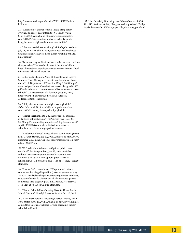http://www.edweek.org/ew/articles/2009/10/07/06miron. h29.html

22. "Expansion of charter schools should bring better oversight and more accountability," NC Policy Watch, Sept. 18, 2012. Available at: http://www.ncpolicywatch. com/2012/09/18/expansion-of-charter-schools-shouldbring-better-oversight-and-more-accountability/

23. "Charters need closer watching," *Philadelphia Tribune*, July 15, 2014. Available at: http://www.networkforpubliceducation.org/news/charters-need-closer-watching-philadelphia-tribune/

24. "Turnover plagues district's charter office as state considers changes to law," The Notebook, Nov. 7, 2013. Available at: http://thenotebook.org/blog/136617/turnover-charter-schooloffice-state-debates-changes-law

25. Catherine E. Lhamon, Philip H. Rosenfelt, and Jocelyn Samuels, "Dear Colleague Letter: School Enrollment Procedures," U.S. Department of Education (May 8, 2014) http:// www2.ed.gov/about/offices/list/ocr/letters/colleague-201405. pdf and Catherin E. Lhamon, Dear Colleague Letter: Charter schools," U.S. Department of Education (May 14, 2014) http://www2.ed.gov/about/offices/list/ocr/letters/ colleague-201405-charter.pdf

26. "Philly charter school moonlights as a nightclub," *Salon*, March 30, 2010. Available at: http://www.salon. com/2010/03/30/us\_charter\_school\_nightclub/

27. "Islamic cleric linked to U.S. charter schools involved in Turkey's political drama," *Washington Post* (Dec. 26, 2013) http://www.washingtonpost.com/blogs/answer-sheet/ wp/2013/12/26/islamic-cleric-linked-to-u-s-charterschools-involved-in-turkeys-political-drama/

28. "Academica: Florida's richest charter school management firm," *Miami Herald*, July 10, 2014. Available at: http://www. miamiher ald.com/news/special-reports/cashing-in-on-kids/ article1939207.html

 29. "D.C. officials in talks to run Options public charter school," *Washington Post*, Jan. 22, 2014. Available at: http://www.washingtonpost.com/local/education/ dc-officials-in-talks-to-run-options-public-charterschool/2014/01/22/0fb59084-8395-11e3-bbe5-6a2a3141e3a9\_ story.html

30. "Former D.C. charter board CFO promoted private companies that allegedly paid him," *Washington Post*, Aug. 16, 2014. Available at: http://www.washingtonpost.com/local/ education/former-dc-charter-board-cfo-promoted-privatecompanies-that-allegedly-paid-him/2014/08/16/54469012- 1e6e-11e4-ab7b-696c295ddfd1\_story.html

31. "Charter Schools Pose Growing Risks for Urban Public School Districts." Moody's Investors Service, Oct. 15, 2013.

 32. "A Walmart Fortune, Spreading Charter Schools," *New York Times*, April 25, 2014. Available at: http://www.nytimes. com/2014/04/26/us/a-walmart-fortune-spreading-charterschools.html?\_r=0

 33. "The Especially Deserving Poor," *Education Week*, Oct. 10, 2013. Available at: http://blogs.edweek.org/edweek/Bridging-Differences/2013/10/the\_especially\_deserving\_poor.html